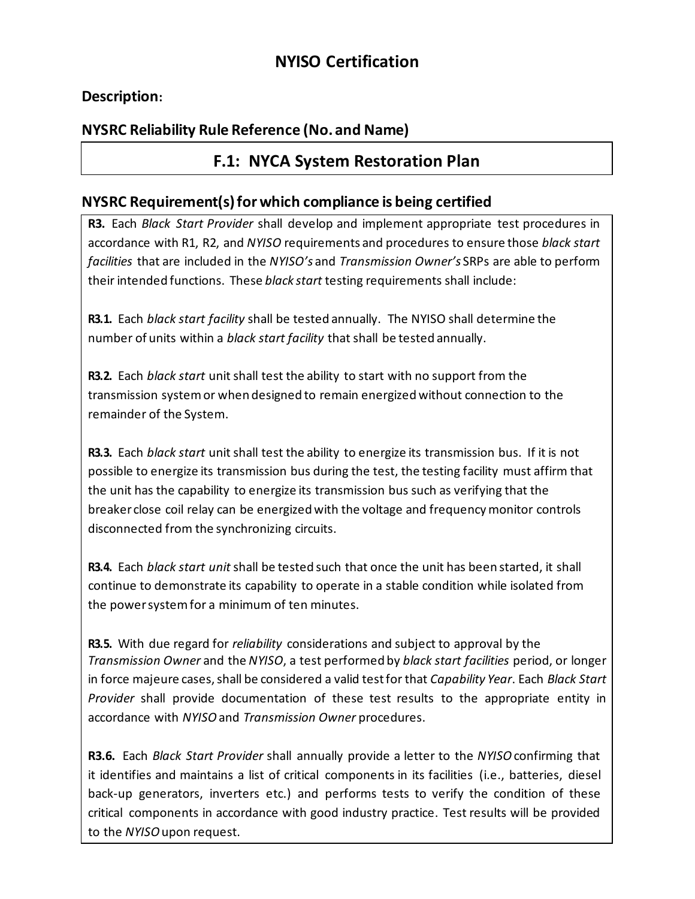# **NYISO Certification**

### **Description:**

## **NYSRC Reliability Rule Reference (No. and Name)**

## **F.1: NYCA System Restoration Plan**

#### **NYSRC Requirement(s)forwhich compliance is being certified**

**R3.** Each *Black Start Provider* shall develop and implement appropriate test procedures in accordance with R1, R2, and *NYISO* requirements and procedures to ensure those *black start facilities* that are included in the *NYISO's* and *Transmission Owner's* SRPs are able to perform their intended functions. These *black start* testing requirements shall include:

**R3.1.** Each *black start facility* shall be tested annually. The NYISO shall determine the number of units within a *black start facility* that shall be tested annually.

**R3.2.** Each *black start* unit shall test the ability to start with no support from the transmission systemor when designed to remain energizedwithout connection to the remainder of the System.

**R3.3.** Each *black start* unit shall test the ability to energize its transmission bus. If it is not possible to energize its transmission bus during the test, the testing facility must affirm that the unit has the capability to energize its transmission bus such as verifying that the breaker close coil relay can be energizedwith the voltage and frequencymonitor controls disconnected from the synchronizing circuits.

**R3.4.** Each *black start unit* shall be tested such that once the unit has been started, it shall continue to demonstrate its capability to operate in a stable condition while isolated from the powersystemfor a minimum of ten minutes.

**R3.5.** With due regard for *reliability* considerations and subject to approval by the *Transmission Owner* and the *NYISO*, a test performed by *black start facilities* period, or longer in force majeure cases, shall be considered a valid test for that *Capability Year*. Each *Black Start Provider* shall provide documentation of these test results to the appropriate entity in accordance with *NYISO* and *Transmission Owner* procedures.

**R3.6.** Each *Black Start Provider* shall annually provide a letter to the *NYISO* confirming that it identifies and maintains a list of critical components in its facilities (i.e., batteries, diesel back-up generators, inverters etc.) and performs tests to verify the condition of these critical components in accordance with good industry practice. Test results will be provided to the *NYISO*upon request.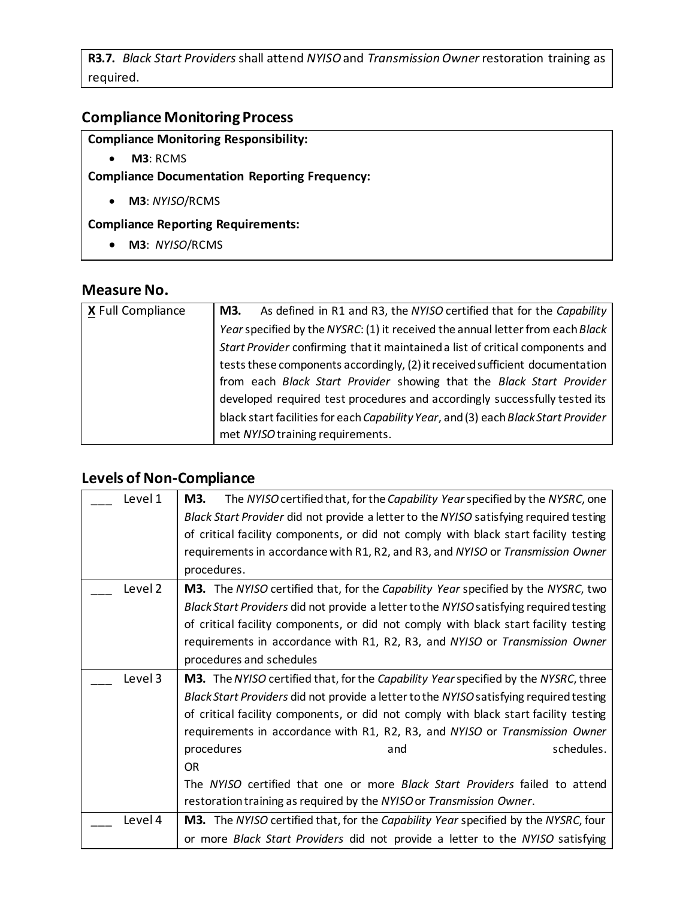**R3.7.** *Black Start Providers* shall attend *NYISO*and *TransmissionOwner* restoration training as required.

#### **Compliance Monitoring Process**

## **Compliance Monitoring Responsibility:**

• **M3**: RCMS

**Compliance Documentation Reporting Frequency:**

• **M3**: *NYISO*/RCMS

#### **Compliance Reporting Requirements:**

• **M3**: *NYISO*/RCMS

## **Measure No.**

| X Full Compliance | As defined in R1 and R3, the NYISO certified that for the Capability<br>M3.        |
|-------------------|------------------------------------------------------------------------------------|
|                   | Year specified by the NYSRC: (1) it received the annual letter from each Black     |
|                   | Start Provider confirming that it maintained a list of critical components and     |
|                   | tests these components accordingly, (2) it received sufficient documentation       |
|                   | from each Black Start Provider showing that the Black Start Provider               |
|                   | developed required test procedures and accordingly successfully tested its         |
|                   | black start facilities for each Capability Year, and (3) each Black Start Provider |
|                   | met NYISO training requirements.                                                   |

## **Levels of Non-Compliance**

| Level 1 | M3.<br>The NYISO certified that, for the Capability Year specified by the NYSRC, one     |
|---------|------------------------------------------------------------------------------------------|
|         | Black Start Provider did not provide a letter to the NYISO satisfying required testing   |
|         | of critical facility components, or did not comply with black start facility testing     |
|         | requirements in accordance with R1, R2, and R3, and NYISO or Transmission Owner          |
|         | procedures.                                                                              |
| Level 2 | <b>M3.</b> The NYISO certified that, for the Capability Year specified by the NYSRC, two |
|         | Black Start Providers did not provide a letter to the NYISO satisfying required testing  |
|         | of critical facility components, or did not comply with black start facility testing     |
|         | requirements in accordance with R1, R2, R3, and NYISO or Transmission Owner              |
|         | procedures and schedules                                                                 |
|         |                                                                                          |
| Level 3 | M3. The NYISO certified that, for the Capability Year specified by the NYSRC, three      |
|         | Black Start Providers did not provide a letter to the NYISO satisfying required testing  |
|         | of critical facility components, or did not comply with black start facility testing     |
|         | requirements in accordance with R1, R2, R3, and NYISO or Transmission Owner              |
|         | schedules.<br>procedures<br>and                                                          |
|         | <b>OR</b>                                                                                |
|         | The NYISO certified that one or more Black Start Providers failed to attend              |
|         | restoration training as required by the NYISO or Transmission Owner.                     |
| Level 4 | M3. The NYISO certified that, for the Capability Year specified by the NYSRC, four       |